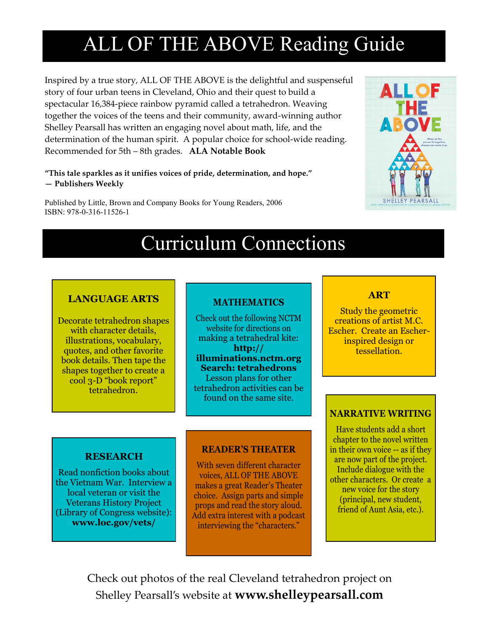# ALL OF THE ABOVE Reading Guide

Inspired by a true story, ALL OF THE ABOVE is the delightful and suspenseful story of four urban teens in Cleveland, Ohio and their quest to build a spectacular 16,384-piece rainbow pyramid called a tetrahedron. Weaving together the voices of the teens and their community, award-winning author Shelley Pearsall has written an engaging novel about math, life, and the determination of the human spirit. A popular choice for school-wide reading. Recommended for 5th – 8th grades. **ALA Notable Book**

#### **"This tale sparkles as it unifies voices of pride, determination, and hope." — Publishers Weekly**

Published by Little, Brown and Company Books for Young Readers, 2006 ISBN: 978-0-316-11526-1



## Curriculum Connections

## **LANGUAGE ARTS**

Decorate tetrahedron shapes with character details, illustrations, vocabulary, quotes, and other favorite book details. Then tape the shapes together to create a cool 3-D "book report" tetrahedron.

## **MATHEMATICS**

Check out the following NCTM website for directions on making a tetrahedral kite: **http:// illuminations.nctm.org Search: tetrahedrons** Lesson plans for other tetrahedron activities can be found on the same site.

### **RESEARCH**

Read nonfiction books about the Vietnam War. Interview a local veteran or visit the Veterans History Project (Library of Congress website): **www.loc.gov/vets/**

### **READER'S THEATER**

With seven different character voices, ALL OF THE ABOVE makes a great Reader's Theater choice. Assign parts and simple props and read the story aloud. Add extra interest with a podcast interviewing the "characters."

### **ART**

Study the geometric creations of artist M.C. Escher. Create an Escherinspired design or tessellation.

### **NARRATIVE WRITING**

Have students add a short chapter to the novel written in their own voice -- as if they are now part of the project. Include dialogue with the other characters. Or create a new voice for the story (principal, new student, friend of Aunt Asia, etc.).

Check out photos of the real Cleveland tetrahedron project on Shelley Pearsall's website at **www.shelleypearsall.com**